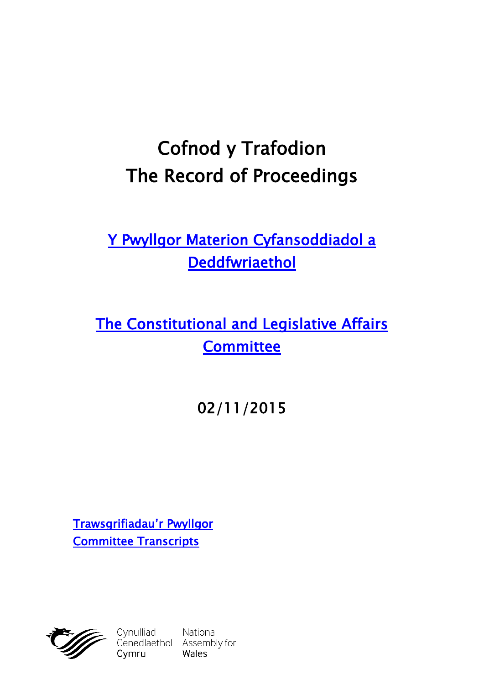# **Cofnod y Trafodion The Record of Proceedings**

# **[Y Pwyllgor Materion Cyfansoddiadol a](http://www.cynulliad.cymru/SeneddMCD)  [Deddfwriaethol](http://www.cynulliad.cymru/SeneddMCD)**

# **[The Constitutional and Legislative Affairs](http://www.assembly.wales/SeneddCLA)  [Committee](http://www.assembly.wales/SeneddCLA)**

# **02/11/2015**

**[Trawsgrifiadau'r Pwyllgor](http://www.senedd.cynulliad.cymru/mgIssueHistoryHome.aspx?IId=1242) [Committee Transcripts](http://www.senedd.assembly.wales/mgIssueHistoryHome.aspx?IId=1242)**



Cynulliad National<br>Cenedlaethol Assembly for Cymru Wales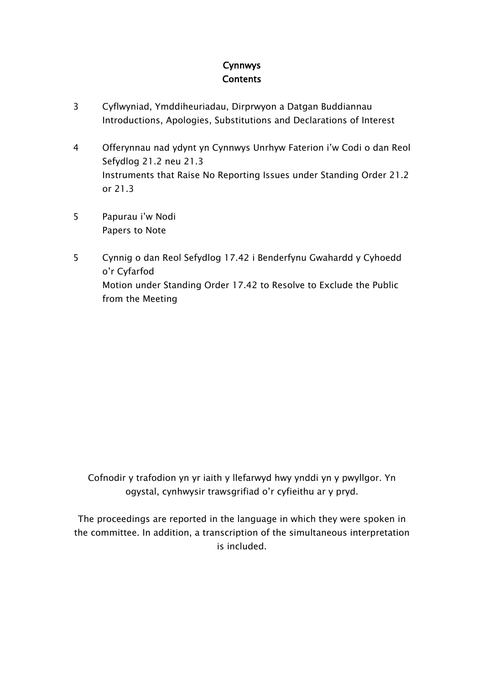### **Cynnwys Contents**

- [3](#page-2-0) Cyflwyniad, Ymddiheuriadau, Dirprwyon a Datgan Buddiannau Introductions, Apologies, Substitutions and Declarations of Interest
- [4](#page-3-0) Offerynnau nad ydynt yn Cynnwys Unrhyw Faterion i'w Codi o dan Reol Sefydlog 21.2 neu 21.3 Instruments that Raise No Reporting Issues under Standing Order 21.2 or 21.3
- [5](#page-4-0) Papurau i'w Nodi Papers to Note
- [5](#page-4-1) Cynnig o dan Reol Sefydlog 17.42 i Benderfynu Gwahardd y Cyhoedd o'r Cyfarfod Motion under Standing Order 17.42 to Resolve to Exclude the Public from the Meeting

Cofnodir y trafodion yn yr iaith y llefarwyd hwy ynddi yn y pwyllgor. Yn ogystal, cynhwysir trawsgrifiad o'r cyfieithu ar y pryd.

The proceedings are reported in the language in which they were spoken in the committee. In addition, a transcription of the simultaneous interpretation is included.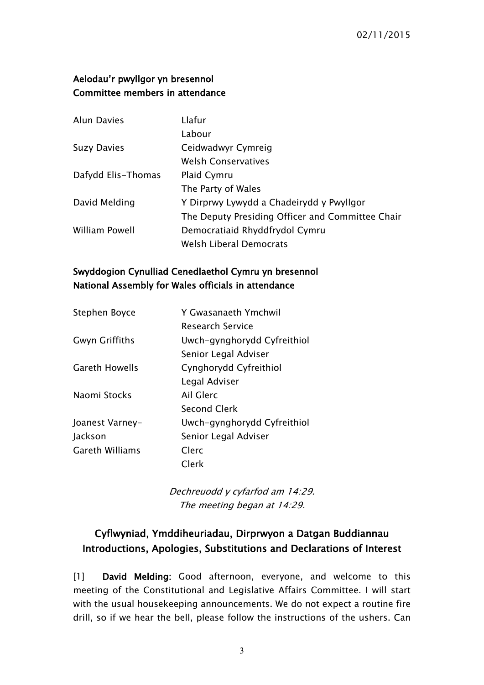#### **Aelodau'r pwyllgor yn bresennol Committee members in attendance**

| <b>Alun Davies</b> | Llafur                                           |
|--------------------|--------------------------------------------------|
|                    | Labour                                           |
| <b>Suzy Davies</b> | Ceidwadwyr Cymreig                               |
|                    | <b>Welsh Conservatives</b>                       |
| Dafydd Elis-Thomas | Plaid Cymru                                      |
|                    | The Party of Wales                               |
| David Melding      | Y Dirprwy Lywydd a Chadeirydd y Pwyllgor         |
|                    | The Deputy Presiding Officer and Committee Chair |
| William Powell     | Democratiaid Rhyddfrydol Cymru                   |
|                    | Welsh Liberal Democrats                          |

#### **Swyddogion Cynulliad Cenedlaethol Cymru yn bresennol National Assembly for Wales officials in attendance**

| Stephen Boyce          | Y Gwasanaeth Ymchwil        |
|------------------------|-----------------------------|
|                        | <b>Research Service</b>     |
| <b>Gwyn Griffiths</b>  | Uwch-gynghorydd Cyfreithiol |
|                        | Senior Legal Adviser        |
| <b>Gareth Howells</b>  | Cynghorydd Cyfreithiol      |
|                        | Legal Adviser               |
| Naomi Stocks           | Ail Glerc                   |
|                        | <b>Second Clerk</b>         |
| Joanest Varney-        | Uwch-gynghorydd Cyfreithiol |
| Jackson                | Senior Legal Adviser        |
| <b>Gareth Williams</b> | Clerc                       |
|                        | Clerk                       |

*Dechreuodd y cyfarfod am 14:29. The meeting began at 14:29.*

### <span id="page-2-0"></span>**Cyflwyniad, Ymddiheuriadau, Dirprwyon a Datgan Buddiannau Introductions, Apologies, Substitutions and Declarations of Interest**

[1] **David Melding:** Good afternoon, everyone, and welcome to this meeting of the Constitutional and Legislative Affairs Committee. I will start with the usual housekeeping announcements. We do not expect a routine fire drill, so if we hear the bell, please follow the instructions of the ushers. Can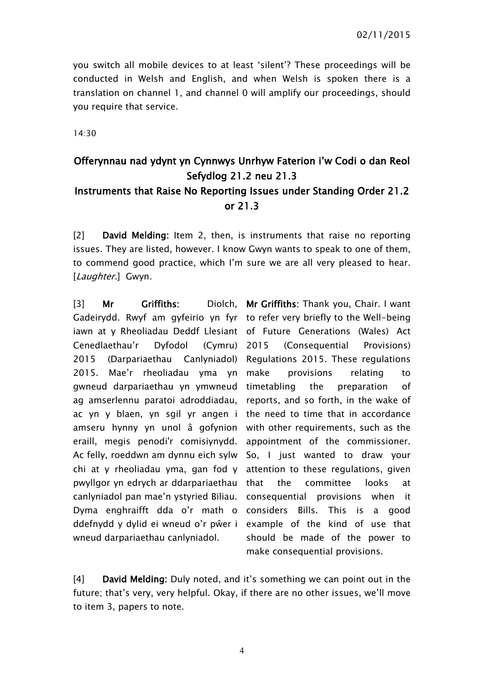you switch all mobile devices to at least 'silent'? These proceedings will be conducted in Welsh and English, and when Welsh is spoken there is a translation on channel 1, and channel 0 will amplify our proceedings, should you require that service.

14:30

### <span id="page-3-0"></span>**Offerynnau nad ydynt yn Cynnwys Unrhyw Faterion i'w Codi o dan Reol Sefydlog 21.2 neu 21.3 Instruments that Raise No Reporting Issues under Standing Order 21.2 or 21.3**

[2] **David Melding:** Item 2, then, is instruments that raise no reporting issues. They are listed, however. I know Gwyn wants to speak to one of them, to commend good practice, which I'm sure we are all very pleased to hear. [*Laughter.*] Gwyn.

[3] Mr Griffiths: Gadeirydd. Rwyf am gyfeirio yn fyr to refer very briefly to the Well-being iawn at y Rheoliadau Deddf Llesiant of Future Generations (Wales) Act Cenedlaethau'r Dyfodol (Cymru) 2015 (Darpariaethau Canlyniadol) Regulations 2015. These regulations 2015. Mae'r rheoliadau yma yn gwneud darpariaethau yn ymwneud timetabling the preparation of ag amserlennu paratoi adroddiadau, reports, and so forth, in the wake of ac yn y blaen, yn sgil yr angen i the need to time that in accordance amseru hynny yn unol â gofynion with-other-requirements, such-as-the eraill, megis penodi'r comisiynydd. appointment of the commissioner. Ac felly, roeddwn am dynnu eich sylw So, I just wanted to draw your chi at y rheoliadau yma, gan fod y attention to these regulations, given pwyllgor yn edrych ar ddarpariaethau canlyniadol pan mae'n ystyried Biliau. consequential provisions when it Dyma enghraifft dda o'r math o considers Bills. This is a good ddefnydd y dylid ei wneud o'r pŵer i example of the kind of use that wneud darpariaethau canlyniadol.

**Mr Griffiths:** Thank you, Chair. I want (Consequential Provisions) provisions relating to the committee looks at should be made of the power to make consequential provisions.

[4] **David Melding:** Duly noted, and it's something we can point out in the future; that's very, very helpful. Okay, if there are no other issues, we'll move to item 3, papers to note.

4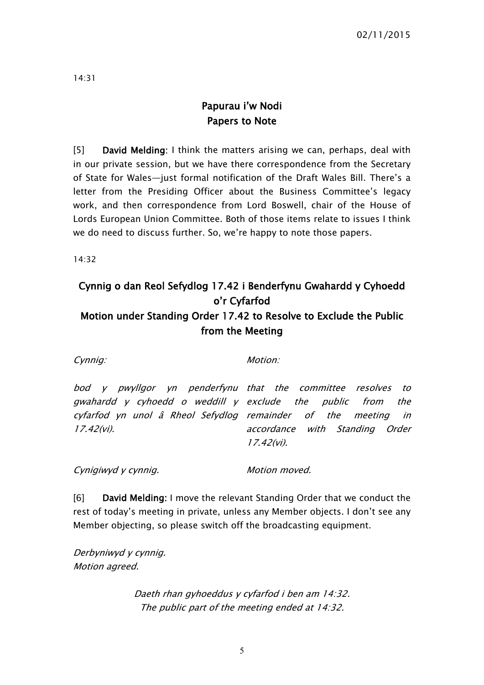14:31

## <span id="page-4-0"></span>**Papurau i'w Nodi Papers to Note**

[5] **David Melding:** I think the matters arising we can, perhaps, deal with in our private session, but we have there correspondence from the Secretary of State for Wales—just formal notification of the Draft Wales Bill. There's a letter from the Presiding Officer about the Business Committee's legacy work, and then correspondence from Lord Boswell, chair of the House of Lords European Union Committee. Both of those items relate to issues I think we do need to discuss further. So, we're happy to note those papers.

14:32

# <span id="page-4-1"></span>**Cynnig o dan Reol Sefydlog 17.42 i Benderfynu Gwahardd y Cyhoedd o'r Cyfarfod Motion under Standing Order 17.42 to Resolve to Exclude the Public from the Meeting**

*Cynnig: Motion:*

*bod y pwyllgor yn penderfynu that the committee resolves to gwahardd y cyhoedd <sup>o</sup> weddill y exclude the public from the cyfarfod yn unol â Rheol Sefydlog remainder of the meeting in 17.42(vi). accordance with Standing Order 17.42(vi).*

*Cynigiwyd y cynnig. Motion moved.*

[6] **David Melding:** I move the relevant Standing Order that we conduct the rest of today's meeting in private, unless any Member objects. I don't see any Member objecting, so please switch off the broadcasting equipment.

*Derbyniwyd y cynnig. Motion agreed.*

> *Daeth rhan gyhoeddus y cyfarfod i ben am 14:32. The public part of the meeting ended at 14:32.*